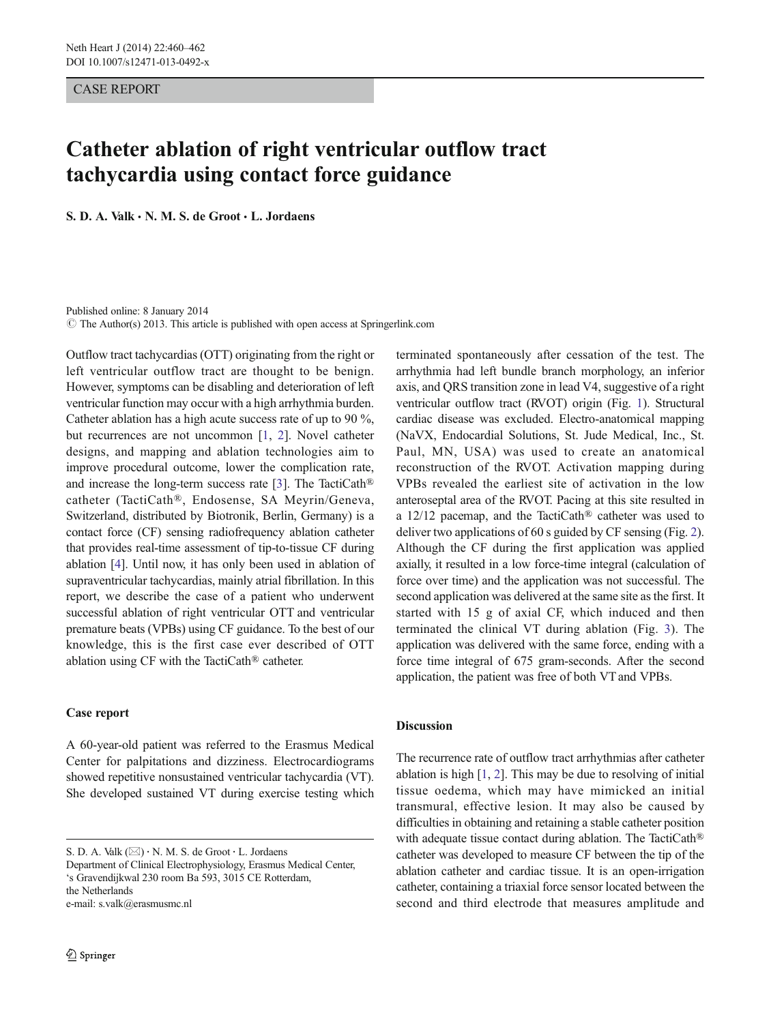CASE REPORT

# Catheter ablation of right ventricular outflow tract tachycardia using contact force guidance

S. D. A. Valk  $\cdot$  N. M. S. de Groot  $\cdot$  L. Jordaens

Published online: 8 January 2014  $\odot$  The Author(s) 2013. This article is published with open access at Springerlink.com

Outflow tract tachycardias (OTT) originating from the right or left ventricular outflow tract are thought to be benign. However, symptoms can be disabling and deterioration of left ventricular function may occur with a high arrhythmia burden. Catheter ablation has a high acute success rate of up to 90 %, but recurrences are not uncommon [[1,](#page-2-0) [2\]](#page-2-0). Novel catheter designs, and mapping and ablation technologies aim to improve procedural outcome, lower the complication rate, and increase the long-term success rate [[3\]](#page-2-0). The TactiCath® catheter (TactiCath®, Endosense, SA Meyrin/Geneva, Switzerland, distributed by Biotronik, Berlin, Germany) is a contact force (CF) sensing radiofrequency ablation catheter that provides real-time assessment of tip-to-tissue CF during ablation [[4](#page-2-0)]. Until now, it has only been used in ablation of supraventricular tachycardias, mainly atrial fibrillation. In this report, we describe the case of a patient who underwent successful ablation of right ventricular OTT and ventricular premature beats (VPBs) using CF guidance. To the best of our knowledge, this is the first case ever described of OTT ablation using CF with the TactiCath® catheter.

## Case report

A 60-year-old patient was referred to the Erasmus Medical Center for palpitations and dizziness. Electrocardiograms showed repetitive nonsustained ventricular tachycardia (VT). She developed sustained VT during exercise testing which

S. D. A. Valk  $(\boxtimes) \cdot N$ . M. S. de Groot  $\cdot L$ . Jordaens

Department of Clinical Electrophysiology, Erasmus Medical Center, 's Gravendijkwal 230 room Ba 593, 3015 CE Rotterdam, the Netherlands e-mail: s.valk@erasmusmc.nl

terminated spontaneously after cessation of the test. The arrhythmia had left bundle branch morphology, an inferior axis, and QRS transition zone in lead V4, suggestive of a right ventricular outflow tract (RVOT) origin (Fig. [1\)](#page-1-0). Structural cardiac disease was excluded. Electro-anatomical mapping (NaVX, Endocardial Solutions, St. Jude Medical, Inc., St. Paul, MN, USA) was used to create an anatomical reconstruction of the RVOT. Activation mapping during VPBs revealed the earliest site of activation in the low anteroseptal area of the RVOT. Pacing at this site resulted in a 12/12 pacemap, and the TactiCath® catheter was used to deliver two applications of 60 s guided by CF sensing (Fig. [2\)](#page-1-0). Although the CF during the first application was applied axially, it resulted in a low force-time integral (calculation of force over time) and the application was not successful. The second application was delivered at the same site as the first. It started with 15 g of axial CF, which induced and then terminated the clinical VT during ablation (Fig. [3](#page-2-0)). The application was delivered with the same force, ending with a force time integral of 675 gram-seconds. After the second application, the patient was free of both VT and VPBs.

#### Discussion

The recurrence rate of outflow tract arrhythmias after catheter ablation is high [[1,](#page-2-0) [2\]](#page-2-0). This may be due to resolving of initial tissue oedema, which may have mimicked an initial transmural, effective lesion. It may also be caused by difficulties in obtaining and retaining a stable catheter position with adequate tissue contact during ablation. The TactiCath® catheter was developed to measure CF between the tip of the ablation catheter and cardiac tissue. It is an open-irrigation catheter, containing a triaxial force sensor located between the second and third electrode that measures amplitude and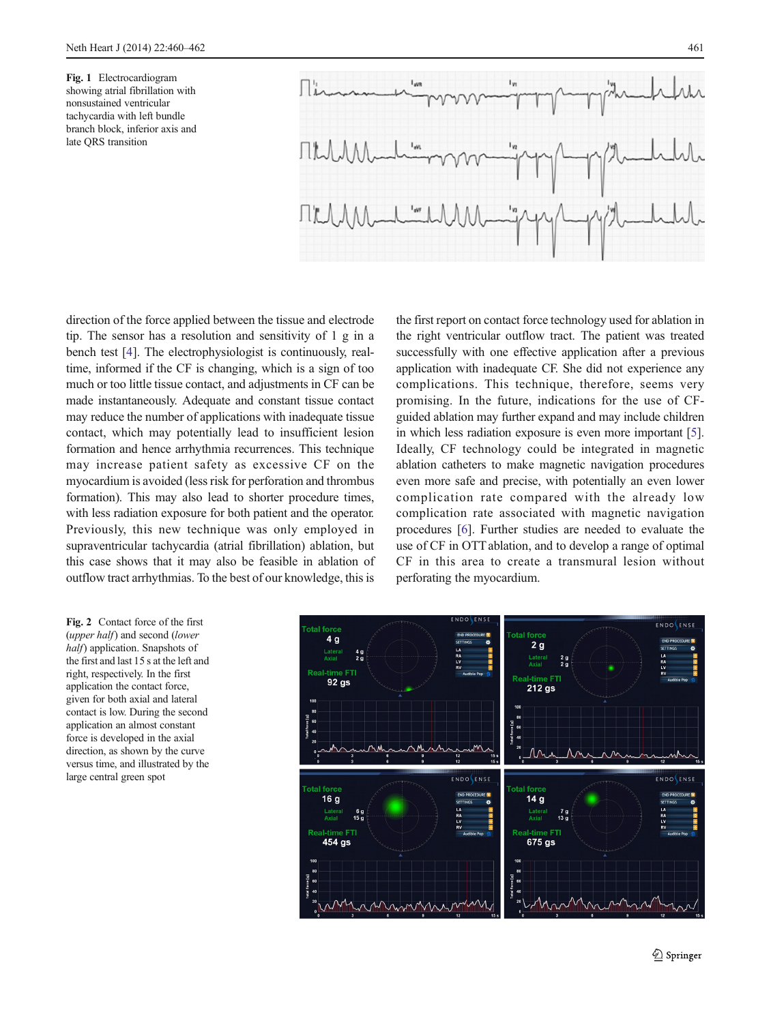<span id="page-1-0"></span>Fig. 1 Electrocardiogram showing atrial fibrillation with nonsustained ventricular tachycardia with left bundle branch block, inferior axis and late QRS transition



direction of the force applied between the tissue and electrode tip. The sensor has a resolution and sensitivity of 1 g in a bench test [[4\]](#page-2-0). The electrophysiologist is continuously, realtime, informed if the CF is changing, which is a sign of too much or too little tissue contact, and adjustments in CF can be made instantaneously. Adequate and constant tissue contact may reduce the number of applications with inadequate tissue contact, which may potentially lead to insufficient lesion formation and hence arrhythmia recurrences. This technique may increase patient safety as excessive CF on the myocardium is avoided (less risk for perforation and thrombus formation). This may also lead to shorter procedure times, with less radiation exposure for both patient and the operator. Previously, this new technique was only employed in supraventricular tachycardia (atrial fibrillation) ablation, but this case shows that it may also be feasible in ablation of outflow tract arrhythmias. To the best of our knowledge, this is

the first report on contact force technology used for ablation in the right ventricular outflow tract. The patient was treated successfully with one effective application after a previous application with inadequate CF. She did not experience any complications. This technique, therefore, seems very promising. In the future, indications for the use of CFguided ablation may further expand and may include children in which less radiation exposure is even more important [[5\]](#page-2-0). Ideally, CF technology could be integrated in magnetic ablation catheters to make magnetic navigation procedures even more safe and precise, with potentially an even lower complication rate compared with the already low complication rate associated with magnetic navigation procedures [\[6](#page-2-0)]. Further studies are needed to evaluate the use of CF in OTT ablation, and to develop a range of optimal CF in this area to create a transmural lesion without perforating the myocardium.

Fig. 2 Contact force of the first (upper half) and second (lower half) application. Snapshots of the first and last 15 s at the left and right, respectively. In the first application the contact force, given for both axial and lateral contact is low. During the second application an almost constant force is developed in the axial direction, as shown by the curve versus time, and illustrated by the large central green spot